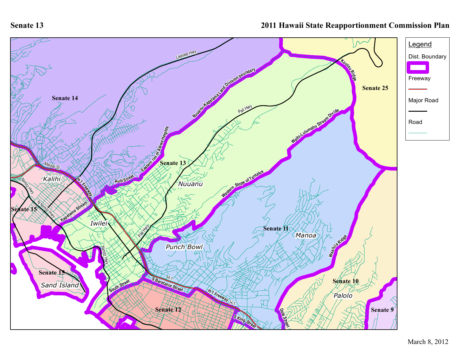**Senate 13**

## **2011 Hawaii State Reapportionment Commission Plan**

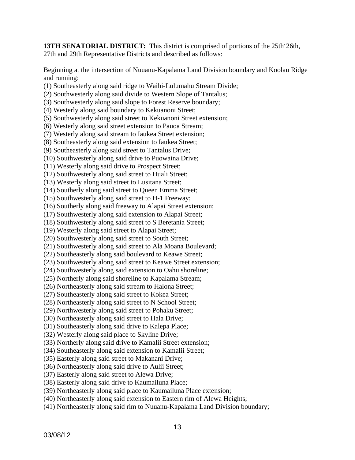**13TH SENATORIAL DISTRICT:** This district is comprised of portions of the 25th, 26th, 27th and 29th Representative Districts and described as follows:

Beginning at the intersection of Nuuanu-Kapalama Land Division boundary and Koolau Ridge and running:

- (1) Southeasterly along said ridge to Waihi-Lulumahu Stream Divide;
- (2) Southwesterly along said divide to Western Slope of Tantalus;
- (3) Southwesterly along said slope to Forest Reserve boundary;
- (4) Westerly along said boundary to Kekuanoni Street;
- (5) Southwesterly along said street to Kekuanoni Street extension;
- (6) Westerly along said street extension to Pauoa Stream;
- (7) Westerly along said stream to Iaukea Street extension;
- (8) Southeasterly along said extension to Iaukea Street;
- (9) Southeasterly along said street to Tantalus Drive;
- (10) Southwesterly along said drive to Puowaina Drive;
- (11) Westerly along said drive to Prospect Street;
- (12) Southwesterly along said street to Huali Street;
- (13) Westerly along said street to Lusitana Street;
- (14) Southerly along said street to Queen Emma Street;
- (15) Southwesterly along said street to H-1 Freeway;
- (16) Southerly along said freeway to Alapai Street extension;
- (17) Southwesterly along said extension to Alapai Street;
- (18) Southwesterly along said street to S Beretania Street;
- (19) Westerly along said street to Alapai Street;
- (20) Southwesterly along said street to South Street;
- (21) Southwesterly along said street to Ala Moana Boulevard;
- (22) Southeasterly along said boulevard to Keawe Street;
- (23) Southwesterly along said street to Keawe Street extension;
- (24) Southwesterly along said extension to Oahu shoreline;
- (25) Northerly along said shoreline to Kapalama Stream;
- (26) Northeasterly along said stream to Halona Street;
- (27) Southeasterly along said street to Kokea Street;
- (28) Northeasterly along said street to N School Street;
- (29) Northwesterly along said street to Pohaku Street;
- (30) Northeasterly along said street to Hala Drive;
- (31) Southeasterly along said drive to Kalepa Place;
- (32) Westerly along said place to Skyline Drive;
- (33) Northerly along said drive to Kamalii Street extension;
- (34) Southeasterly along said extension to Kamalii Street;
- (35) Easterly along said street to Makanani Drive;
- (36) Northeasterly along said drive to Aulii Street;
- (37) Easterly along said street to Alewa Drive;
- (38) Easterly along said drive to Kaumailuna Place;
- (39) Northeasterly along said place to Kaumailuna Place extension;
- (40) Northeasterly along said extension to Eastern rim of Alewa Heights;
- (41) Northeasterly along said rim to Nuuanu-Kapalama Land Division boundary;